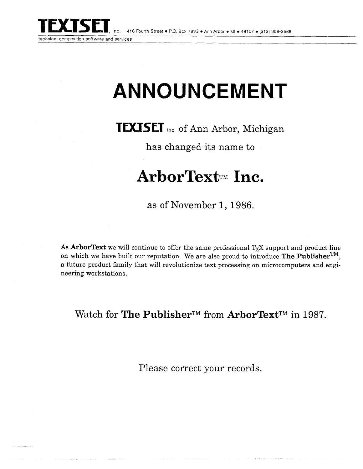

technical composition software and services

## **ANNOUNCEMENT**

**TEXTSET**, Inc. of Ann Arbor, Michigan

has changed its name to

## **ArborText~~ Inc.**

as of November 1, 1986.

As **ArborText** we will continue to offer the same professional T<sub>F</sub>X support and product line on which we have built our reputation. We are also proud to introduce **The publisherTM,**  a future product family that will revolutionize text processing on microcomputers and engineering workstations.

Watch for **The Publisher<sup>TM</sup>** from **ArborText**<sup>TM</sup> in 1987.

Please correct your records.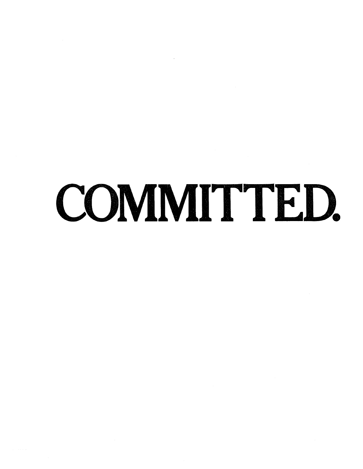## COMMITTED.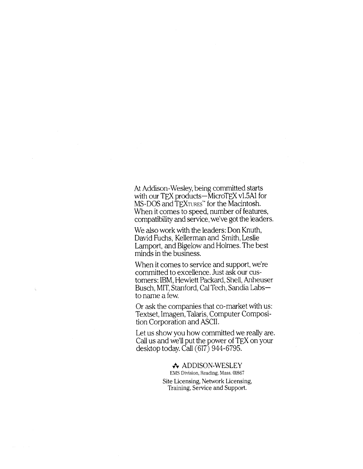At Addison-Wesley, being committed starts with our TEX products—MicroTEX v1.5A1 for MS-DOS and TEXTURES" for the Macintosh. When it comes to speed, number of features, compatibility and service, we've got the leaders.

We also work with the leaders: Don Knuth, David Fuchs, Kellerman and Smith, Leslie Lamport, and Bigelow and Holmes. The best minds in the business.

When it comes to service and support, we're committed to excellence. Just ask our customers: IBM, Hewlett Packard, Shell, Anheuser Busch, MIT, Stanford, Cal Tech, Sandia Labsto name a few.

Or ask the companies that co-market with us: Textset, Imagen, Talaris, Computer Composition Corporation and ASCII.

Let us show you how committed we really are. Call us and we'll put the power of TEX on your desktop today. Call (617) 944-6795.

## **4.** ADDISON-WESLEY

EMS Division, Reading, Mass. 01867 Site Licensing, Network Licensing, Training, Service and Support.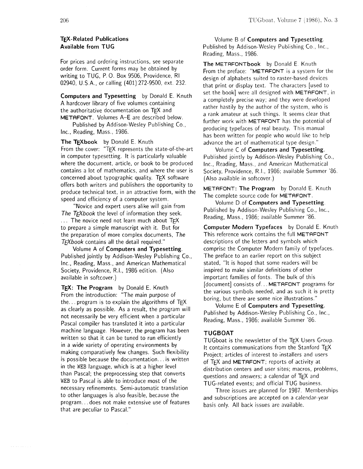## **TEX-Related Publications Available from TUG**

For prices and ordering instructions, see separate order form. Current forms may be obtained by writing to TUG, P. 0. Box 9506, Providence, RI 02940, U.S.A., or calling (401) 272-9500, ext. 232.

**Computers and Typesetting** by Donald E. Knuth A hardcover library of five volumes containing the authoritative documentation on TEX and METAFONT. Volumes A-E are described below.

Published by Addison-Wesley Publishing Co., Inc., Reading, Mass., 1986.

**The TEXbook** by Donald E. Knuth From the cover: "TEX represents the state-of-the-art in computer typesetting. It is particularly valuable where the document, article, or book to be produced contains a lot of mathematics, and where the user is concerned about typographic quality. TEX software offers both writers and publishers the opportunity to produce technical text, in an attractive form, with the speed and efficiency of a computer system.

"Novice and expert users alike will gain from The  $T_{\rm E}X$ book the level of information they seek. ... The novice need not learn much about TFX to prepare a simple manuscript with it. But for the preparation of more complex documents, The  $T_{F}X$ book contains all the detail required."

Volume A of **Computers and Typesetting.**  Published jointly by Addison-Wesley Publishing Co., Inc., Reading, Mass., and American Mathematical Society, Providence, R.I., 1986 edition. (Also available in softcover.)

**TEX: The Program** by Donald E. Knuth From the introduction: "The main purpose of the... program is to explain the algorithms of  $TFX$ as clearly as possible. As a result, the program will not necessarily be very efficient when a particular Pascal compiler has translated it into a particular machine language. However, the program has been written so that it can be tuned to run efficiently in a wide variety of operating environments by making comparatively few changes. Such flexibility is possible because the documentation. . . is written in the WEB language, which is at a higher level than Pascal; the preprocessing step that converts WEB to Pascal is able to introduce most of the necessary refinements. Semi-automatic translation to other languages is also feasible, because the program.. .does not make extensive use of features that are peculiar to Pascal."

Volume B of **Computers and Typesetting.**  Published by Addison-Wesley Publishing Co., Inc., Reading, Mass., 1986.

**The** METAFONTbook by Donald E. Knuth From the preface: "METAFONT is a system for the design of alphabets suited to raster-based devices that print or display text. The characters [used to set the book] were all designed with METAFONT, in a completely precise way; and they were developed rather hastily by the author of the system, who is a rank amateur at such things. It seems clear that further work with METAFONT has the potential of producing typefaces of real beauty. This manual has been written for people who would like to help advance the art of mathematical type design."

Volume C of **Computers and Typesetting.**  Published jointly by Addison-Wesley Publishing Co., Inc., Reading, Mass., and American Mathematical Society, Providence, R.I., 1986; available Summer '86. (Also available in softcover.)

METAFONT: **The Program** by Donald E. Knuth The complete source code for METAFONT.

Volume D of **Computers and Typesetting.**  Published by Addison-Wesley Publishing Co., Inc., Reading, Mass., 1986; available Summer '86.

**Computer Modern Typefaces** by Donald E. Knuth This reference work contains the full METAFONT descriptions of the letters and symbols which comprise the Computer Modern family of typefaces. The preface to an earlier report on this subject stated, "It is hoped that some readers will be inspired to make similar definitions of other important families of fonts. The bulk of this [document] consists of.. . METAFONT programs for the various symbols needed, and as such it is pretty boring, but there are some nice illustrations."

Volume E of **Computers and Typesetting.**  Published by Addison-Wesley Publishing Co., Inc., Reading, Mass., 1986; available Summer '86.

### **TUGBOAT**

TUGboat is the newsletter of the TFX Users Group. It contains communications from the Stanford T<sub>E</sub>X Project; articles of interest to installers and users of TEX and METAFONT; reports of activity at distribution centers and user sites; macros, problems, questions and answers; a calendar of TEX and TUG-related events; and official TUG business.

Three issues are planned for 1987. Memberships and subscriptions are accepted on a calendar-year basis only. All back issues are available.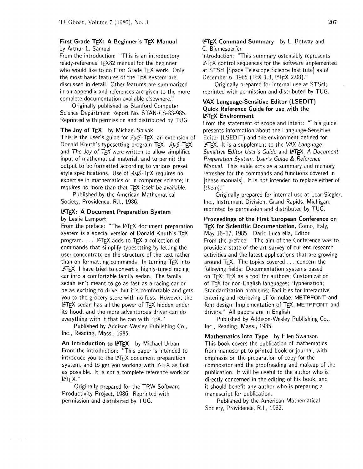### First Grade TEX: A Beginner's TEX Manual by Arthur L. Samuel

From the introduction: "This is an introductory ready-reference  $T$  $F$  $X82$  manual for the beginner who would like to do First Grade TFX work. Only the most basic features of the TEX system are discussed in detail. Other features are summarized in an appendix and references are given to the more complete documentation available elsewhere."

Originally published as Stanford Computer Science Department Report No. STAN-CS-83-985. Reprinted with permission and distributed by TUG.

The Joy of TEX by Michael Spivak This is the user's guide for  $AMS$ -TEX, an extension of Donald Knuth's typesetting program  $TeX. A MS-TFX$ and The Joy of  $T_F X$  were written to allow simplified input of mathematical material, and to permit the output to be formatted according to various preset style specifications. Use of  $AMS$ -TEX requires no expertise in mathematics or in computer science; it requires no more than that TFX itself be available.

Published by the American Mathematical Society, Providence, R.I., 1986.

### L<sup>AT</sup>EX: A Document Preparation System by Leslie Lamport

From the preface: "The LATEX document preparation system is a special version of Donald Knuth's TFX program. ... LATEX adds to TEX a collection of commands that simplify typesetting by letting the user concentrate on the structure of the text rather than on formatting commands. In turning TEX into LATEX, I have tried to convert a highly-tuned racing car into a comfortable family sedan. The family sedan isn't meant to go as fast as a racing car or be as exciting to drive, but it's comfortable and gets you to the grocery store with no fuss. However, the LATEX sedan has all the power of TEX hidden under its hood, and the more adventurous driver can do everything with it that he can with TEX."

Published by Addison-Wesley Publishing Co., Inc., Reading, Mass., 1985.

An Introduction to LATEX by Michael Urban From the introduction: "This paper is intended to introduce you to the  $\text{ATEX}$  document preparation system, and to get you working with LATEX as fast as possible. It is not a complete reference work on LATEX. "

Originally prepared for the TRW Software Productivity Project, 1986. Reprinted with permission and distributed by TUG.

### **LATEX Command Summary** by L. Botway and C. Biemesderfer

Introduction: "This summary ostensibly represents PTEX control sequences for the software implemented at STScl [Space Telescope Science Institute] as of December 6, 1985 (TEX 1.3, LATEX 2.08)."

Originally prepared for internal use at STScl; reprinted with permission and distributed by TUG.

## **WAX** Language-Sensitive Editor (LSEDIT) Quick Reference Guide for use with the IPTEX Environment

From the statement of scope and intent: "This guide presents information about the Language-Sensitive Editor (LSEDIT) and the environment defined for LATEX. It is a supplement to the VAX Language-Sensitive Editor User's Guide and LATEX. A Document Preparation System. User's Guide & Reference Manual. This guide acts as a summary and memory refresher for the commands and functions covered in [these manuals]. It is not intended to replace either of [them]."

Originally prepared for internal use at Lear Siegler, Inc., Instrument Division, Grand Rapids, Michigan; reprinted by permission and distributed by TUG.

Proceedings of the First European Conference on TEX for Scientific Documentation, Como, Italy, May 16-17, 1985 Dario Lucarella, Editor From the preface: "The aim of the Conference was to provide a state-of-the-art survey of current research activities and the latest applications that are growing around  $TFX$ . The topics covered  $\ldots$  concern the following fields: Documentation systems based on TEX; TEX as a tool for authors; Customization of TEX for non-English languages; Hyphenation; Standardization problems; Facilities for interactive entering and retrieving of formulae; METAFONT and font design; Implementation of T<sub>F</sub>X, METAFONT and drivers." All papers are in English.

Published by Addison-Wesley Publishing Co., Inc., Reading, Mass., 1985.

Mathematics into Type by Ellen Swanson This book covers the publication of mathematics from manuscript to printed book or journal, with emphasis on the preparation of copy for the compositor and the proofreading and makeup of the publication. It will be useful to the author who is directly concerned in the editing of his book, and it should benefit any author who is preparing a manuscript for publication.

Published by the American Mathematical Society, Providence, R.I., 1982.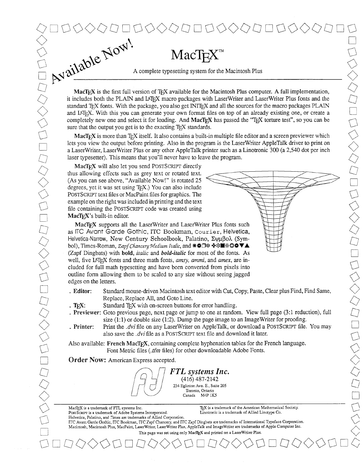$\sum_{i=1}^{n}$  $\lesssim$ 

Available Now!  $MacTeX^T$ A complete typesetting system for the Macintosh Plus MacT<sub>E</sub>X is the first full version of T<sub>E</sub>X available for the Macintosh Plus computer. A full implementation,

it includes both the PLAIN and LATEX macro packages with LaserWriter and LaserWriter Plus fonts and the standard TEX fonts. With the package, you also get INITEX and all the sources for the macro packages PLAIN and IAT<sub>E</sub>X. With this you can generate your own format files on top of an already existing one, or create a completely new one and select it for loading. And MacT<sub>EX</sub> has passed the "T<sub>EX</sub> torture test", so you can be sure that the output you get is to the exacting  $T_F X$  standards.

MacTEX is more than TEX itself. It also contains a built-in multiple file editor and a screen previewer which lets you view the output before printing. Also in the program is the LaserWriter AppleTalk driver to print on a LaserWriter, LaserWriter Plus or any other AppleTalk printer such as a Linotronic 300 (a 2,540 dot per inch laser typesetter). This means that you'll never have to leave the program.

MacTEX will also let you send POSTSCRIPT directly thus allowing effects such as grey text or rotated text. (As you can see above, "Available Now!" is rotated 25 degrees, yet it was set using  $T<sub>F</sub>X$ .) You can also include POSTSCRPT text files or MacPaint files for graphics. The example on the right was included in printing and the text file containing the POSTSCRIPT code was created using  $MacTrX's built-in editor.$ 

MacTFX supports all the LaserWriter and LaserWriter Plus fonts such as ITC Avant Garde Gothic, ITC Bookman, **Courier,** Helvetica, Helvetica-Narrow, New Century Schoolbook, Palatino, Σψμβολ (Symbol), Times-Roman, *Zap\_fChncery* **Medium** *Italic,* and #@a\* **WS+!@@VA**  (Zapf Dingbats) with bold, *italic* and *bold-italic* for most of the fonts. As well, five LAT<sub>E</sub>X fonts and three math fonts, *amsy, ammi,* and *amex*, are included for full math typesetting and have been converted from pixels into outline form allowing them to be scaled to any size without seeing jagged edges on the letters.

- . Editor: Standard mouse-driven Macintosh text editor with Cut, Copy, Paste, Clear plus Find, Find Same, Replace, Replace All, and Goto Line.
- . **T<sub>F</sub>X:** Standard T<sub>E</sub>X with on-screen buttons for error handling.
- . Previewer: Goto previous page, next page or jump to one at random. View full page (3:l reduction), full size (1:l) or double size (1:2). Dump the page image to an ImageWriter for proofing.
- . Printer: Print the *.dvi* file on any LaserWriter on AppleTalk, or download a POSTSCRIPT file. You may also save the *.dvi* file as a POSTSCRIPT text file and download it later.

Also available: French MacT<sub>E</sub>X, containing complete hyphenation tables for the French language. Font Metric files **(.tfm** files) for other downloadable Adobe Fonts.

**Order** Now: American Express accepted.

*FTL systems Znc.*  (416) 487-2142 234 Eghton Ave. E., Suite *2435*  Toronto, Ontario<br>Canada M4P 1K M4P 1K5

MacT<sub>E</sub>X is a trademark of FTL systems Inc. **TEX** is a trademark of the American Mathematical Society.<br>PostTextPr is a trademark of Adobe Systems Incorporated. **The action of the Interval Society** Linotronic is a trademark

ITC Avant Garde Gothic, ITC Bookman, FC Zapf Chancery, and FC Zapf Dingbats are trademarks of International Typeface Corporation. Macintosh, Macintosh Plus, MacPaint, LaserWriter, LaserWriter Plus, AppleTalk and ImageWriter are trademarks of Apple Computer Inc. This page was set using only MacTEX and printed on a LaserWriter Plus.

PosrScRIPT is a trademark of Adobe Systems Incorporated. Helvetica, Palatino, and **rimes** are trademarks of Allied Corporation.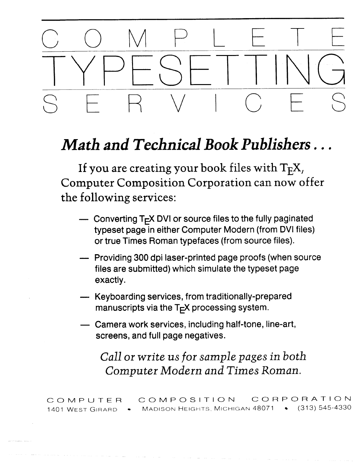# COMPLETE SERVICES

## *Math and Technical ook Publishers* . . .

If you are creating your book files with  $T_F X$ , Computer Composition Corporation can now offer the following services:

- Converting  $T<sub>F</sub> X DVI$  or source files to the fully paginated typeset page in either Computer Modern (from DVI files) or true Times Roman typefaces (from source files).
- Providing 300 dpi laser-printed page proofs (when source files are submitted) which simulate the typeset page exactly.
- Keyboarding services, from traditionally-prepared manuscripts via the  $T<sub>E</sub>X$  processing system.
- Camera work services, including half-tone, line-art, screens, and full page negatives.

*Call or write us for sample pages in both Computer Modern and Times Roman.* 

COMPUTER COMPOSITION CORPORATION<br>1401 West Girard • Madison Heights, Michigan 48071 • (313) 545-4330 1401 WEST GIRARD . MADISON HEIGHTS, MICHIGAN 48071 .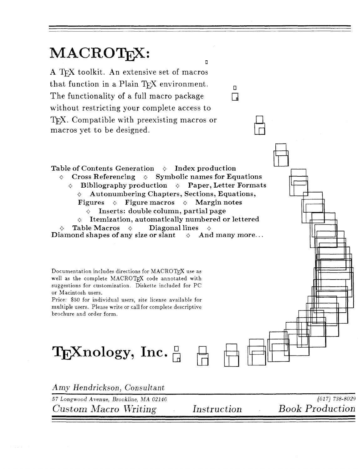## MACROTEX:

A TFX toolkit. An extensive set of macros that function in a Plain T<sub>E</sub>X environment.  $\Box$ The functionality of a full macro package  $\Box$ without restricting your complete access to T<sub>EX</sub>. Compatible with preexisting macros or macros yet to be designed.

 $\begin{picture}(180,190)(0,0) \put(0,0){\line(1,0){10}} \put(15,0){\line(1,0){10}} \put(15,0){\line(1,0){10}} \put(15,0){\line(1,0){10}} \put(15,0){\line(1,0){10}} \put(15,0){\line(1,0){10}} \put(15,0){\line(1,0){10}} \put(15,0){\line(1,0){10}} \put(15,0){\line(1,0){10}} \put(15,0){\line(1,0){10}} \put(15,0){\line(1,0){10}} \put(15,$  $\Diamond$  Cross Referencing  $\Diamond$  Symbolic names for Equations  $\Diamond$  Bibliography production  $\Diamond$  Paper, Letter Formats  $\lozenge$  Autonumbering Chapters, Sections, Equations, Figures  $\Diamond$  Figure macros  $\Diamond$  Margin notes Inserts: double column, partial page  $\diamond$  Itemization, automatically numbered or lettered Table Macros  $\Diamond$  Diagonal lines  $\Diamond$ <br>ond shapes of any size or slant  $\Diamond$  And many more... Diamond shapes of any size or slant

 $\overline{a}$ 

Documentation includes directions for MACROTEX use as well as the complete MACROTEX code annotated with suggestions for customization. Diskette included for PC or Macintosh users.

Price: \$50 for individual users, site license available for multiple users. Please write or call for complete descriptive brochure and order form.

 $\mathrm{T}_{\mathrm{E}}$ Xnology, Inc.  $\frac{\Box}{\Box}$ 

*Am.y* Hen drickson, *Consultant*  57 Longwood Avenue, Brookline, MA 0214G (61 7) 738-8029 Custom Macro Writing Instruction Book Production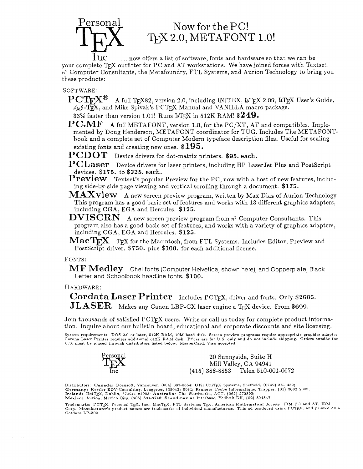## $Personal$  Now for the PC!  $T<sub>F</sub>X 2.0, METAFONT 1.0!$

 $~1\mathrm{nc}$   $~\ldots$  now offers a list of software, fonts and hardware so that we can be your complete T $\cancel{F}X$  outfitter for PC and AT workstations. We have joined forces with Textset,  $n^2$  Computer Consultants, the Metafoundry, FTL Systems, and Aurion Technology to bring you these products:

## SOFTWARE:

- $\mathrm{PCT_F}\!\mathrm{X}^{\circledR}$  A full TFX82, version 2.0, including INITEX, LATEX 2.09, LATEX User's Guide,  $A_MS$ -T<sub>F</sub>X, and Mike Spivak's PCT<sub>F</sub>X Manual and VANILLA macro package.
- $33\%$  faster than version 1.01! Runs LT<sub>F</sub>X in 512K RAM!  $\$249.$
- $\mathbf{PC}.\mathbf{MF}$  A full METAFONT, version 1.0, for the PC/XT, AT and compatibles. Implemented by Doug Henderson, METAFONT coordinator for TUG. Includes The METAFONTbook and a complete set of Computer Modern typeface description files. Useful for scaling existing fonts and creating new ones. **\$195.**
- P CD OT Device drivers for dot-matrix printers. **\$95. each.**
- ${\bf PCLaser}$  Device drivers for laser printers, including HP LaserJet Plus and PostScript devices. **\$175.** to **\$225. each.**
- **Preview** Textset's popular Preview for the PC, now with a host of new features, including side-by-side page viewing and vertical scrolling through a document. **\$175.**
- $\mathbf{MAXview}$  A new screen preview program, written by Max Diaz of Aurion Technology. This program has a good basic set of features and works with **13** different graphics adapters, including CGA, EGA and Hercules. **\$125.**
- $\textbf{DVISCRN}$  A new screen preview program from  $n^2$  Computer Consultants. This program also has a good basic set of features, and works with a variety of graphics adapters, including CGA, EGA and Hercules. **\$125.**
- $\mathbf{MacTrX}$  T<sub>F</sub>X for the Macintosh, from FTL Systems. Includes Editor, Preview and PostScript driver. \$750. plus \$100. for each additional license.

## FONTS:

 $\bf{MF\;Medley}$  – Chel fonts (Computer Helvetica, shown here), and Copperplate, Black Letter and Schoolbook headline fonts. **\$100.** 

## HARDWARE:

Cordata Laser Printer Includes PCT<sub>E</sub>X, driver and fonts. Only \$2995. JLASER Makes any Canon LBP-CX laser engine a TE,X device. From **\$699.** 

Join thousands of satisfied  $PCTEX$  users. Write or call us today for complete product information. Inquire about our bulletin board, educational and corporate discounts and site licensing.

System requirements: DOS 2.0 or later, 512K RAM, 10M hard disk. Screen preview programs require appropriate graphics adapter.<br>Corona Laser Printer requires additional 512K RAM disk. Prices are for U.S. only and do not incl



20 Sunnyside, Suite H Mill Valley, CA 94941 (415) 388-8853 Telex 510-601-0672

Distributors: Canada: Docusoft, Vancouver, (604) 687-0354; UK: UniTEX Systems, Sheffield, (0742) 351 489; Germany: Kettler EDV-Consulting, Lenggries, (08042) 8081; France: Probe Informatique, Trappes, (01) 3062 2603;<br>Ireland: UniTEX, Dublin, 772941 x1983; Australia: The Wordworks, ACT, (062) 572893;<br>Mexico: Aurion, Mexico City

Trademarks: PCTEX, Personal TEX, Inc.; MacTEX, FTL Systems; TEX, American Mathematical Society; IBM PC and AT, IBM<br>Corp. Manufacturer's product names are trademarks of individual manufacturers. This ad produced using PCTEX Cordata LP-300.